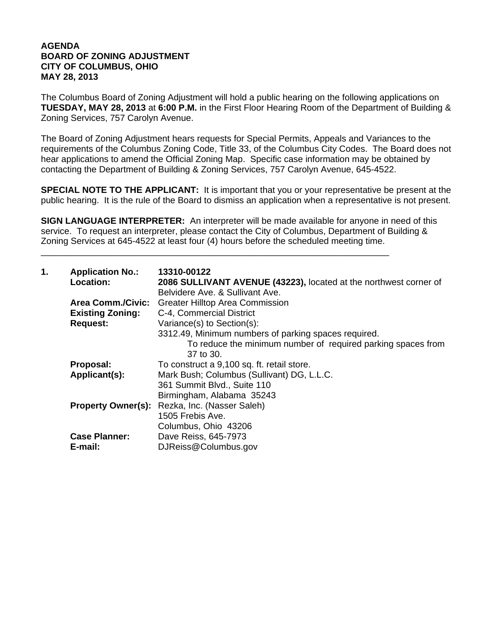## **AGENDA BOARD OF ZONING ADJUSTMENT CITY OF COLUMBUS, OHIO MAY 28, 2013**

The Columbus Board of Zoning Adjustment will hold a public hearing on the following applications on **TUESDAY, MAY 28, 2013** at **6:00 P.M.** in the First Floor Hearing Room of the Department of Building & Zoning Services, 757 Carolyn Avenue.

The Board of Zoning Adjustment hears requests for Special Permits, Appeals and Variances to the requirements of the Columbus Zoning Code, Title 33, of the Columbus City Codes. The Board does not hear applications to amend the Official Zoning Map. Specific case information may be obtained by contacting the Department of Building & Zoning Services, 757 Carolyn Avenue, 645-4522.

**SPECIAL NOTE TO THE APPLICANT:** It is important that you or your representative be present at the public hearing. It is the rule of the Board to dismiss an application when a representative is not present.

**SIGN LANGUAGE INTERPRETER:** An interpreter will be made available for anyone in need of this service. To request an interpreter, please contact the City of Columbus, Department of Building & Zoning Services at 645-4522 at least four (4) hours before the scheduled meeting time.

\_\_\_\_\_\_\_\_\_\_\_\_\_\_\_\_\_\_\_\_\_\_\_\_\_\_\_\_\_\_\_\_\_\_\_\_\_\_\_\_\_\_\_\_\_\_\_\_\_\_\_\_\_\_\_\_\_\_\_\_\_\_\_\_\_\_\_\_\_\_

| 1. | <b>Application No.:</b><br>Location: | 13310-00122<br>2086 SULLIVANT AVENUE (43223), located at the northwest corner of<br>Belvidere Ave, & Sullivant Ave. |
|----|--------------------------------------|---------------------------------------------------------------------------------------------------------------------|
|    | <b>Area Comm./Civic:</b>             | <b>Greater Hilltop Area Commission</b>                                                                              |
|    | <b>Existing Zoning:</b>              | C-4, Commercial District                                                                                            |
|    | <b>Request:</b>                      | Variance(s) to Section(s):                                                                                          |
|    |                                      | 3312.49, Minimum numbers of parking spaces required.                                                                |
|    |                                      | To reduce the minimum number of required parking spaces from<br>37 to 30.                                           |
|    | Proposal:                            | To construct a 9,100 sq. ft. retail store.                                                                          |
|    | Applicant(s):                        | Mark Bush; Columbus (Sullivant) DG, L.L.C.                                                                          |
|    |                                      | 361 Summit Blvd., Suite 110                                                                                         |
|    |                                      | Birmingham, Alabama 35243                                                                                           |
|    | <b>Property Owner(s):</b>            | Rezka, Inc. (Nasser Saleh)                                                                                          |
|    |                                      | 1505 Frebis Ave.                                                                                                    |
|    |                                      | Columbus, Ohio 43206                                                                                                |
|    | <b>Case Planner:</b>                 | Dave Reiss, 645-7973                                                                                                |
|    | E-mail:                              | DJReiss@Columbus.gov                                                                                                |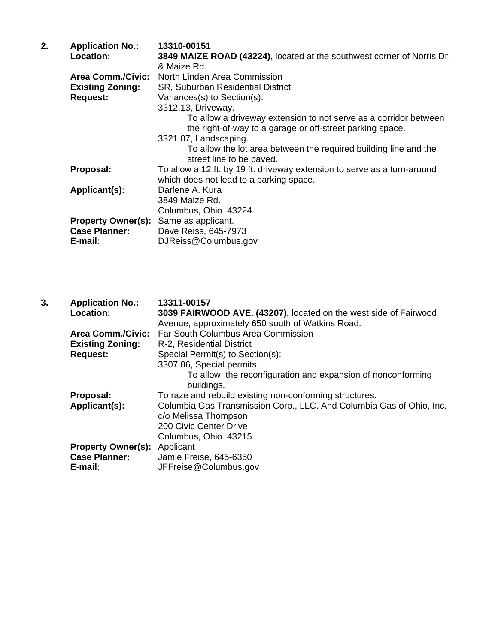| 2. | <b>Application No.:</b><br><b>Location:</b> | 13310-00151<br>3849 MAIZE ROAD (43224), located at the southwest corner of Norris Dr.<br>& Maize Rd.                |
|----|---------------------------------------------|---------------------------------------------------------------------------------------------------------------------|
|    | <b>Area Comm./Civic:</b>                    | North Linden Area Commission                                                                                        |
|    | <b>Existing Zoning:</b>                     | <b>SR, Suburban Residential District</b>                                                                            |
|    | <b>Request:</b>                             | Variances(s) to Section(s):                                                                                         |
|    |                                             | 3312.13, Driveway.                                                                                                  |
|    |                                             | To allow a driveway extension to not serve as a corridor between                                                    |
|    |                                             | the right-of-way to a garage or off-street parking space.                                                           |
|    |                                             | 3321.07, Landscaping.                                                                                               |
|    |                                             | To allow the lot area between the required building line and the<br>street line to be paved.                        |
|    | Proposal:                                   | To allow a 12 ft. by 19 ft. driveway extension to serve as a turn-around<br>which does not lead to a parking space. |
|    | Applicant(s):                               | Darlene A. Kura                                                                                                     |
|    |                                             | 3849 Maize Rd.                                                                                                      |
|    |                                             | Columbus, Ohio 43224                                                                                                |
|    | <b>Property Owner(s):</b>                   | Same as applicant.                                                                                                  |
|    | <b>Case Planner:</b>                        | Dave Reiss, 645-7973                                                                                                |
|    | E-mail:                                     | DJReiss@Columbus.gov                                                                                                |

| 3. | <b>Application No.:</b>             | 13311-00157                                                          |
|----|-------------------------------------|----------------------------------------------------------------------|
|    | <b>Location:</b>                    | 3039 FAIRWOOD AVE. (43207), located on the west side of Fairwood     |
|    |                                     | Avenue, approximately 650 south of Watkins Road.                     |
|    | <b>Area Comm./Civic:</b>            | Far South Columbus Area Commission                                   |
|    | <b>Existing Zoning:</b>             | R-2, Residential District                                            |
|    | <b>Request:</b>                     | Special Permit(s) to Section(s):                                     |
|    |                                     | 3307.06, Special permits.                                            |
|    |                                     | To allow the reconfiguration and expansion of nonconforming          |
|    |                                     | buildings.                                                           |
|    | Proposal:                           | To raze and rebuild existing non-conforming structures.              |
|    | Applicant(s):                       | Columbia Gas Transmission Corp., LLC. And Columbia Gas of Ohio, Inc. |
|    |                                     | c/o Melissa Thompson                                                 |
|    |                                     | 200 Civic Center Drive                                               |
|    |                                     | Columbus, Ohio 43215                                                 |
|    | <b>Property Owner(s):</b> Applicant |                                                                      |
|    | <b>Case Planner:</b>                | Jamie Freise, 645-6350                                               |
|    | E-mail:                             | JFFreise@Columbus.gov                                                |
|    |                                     |                                                                      |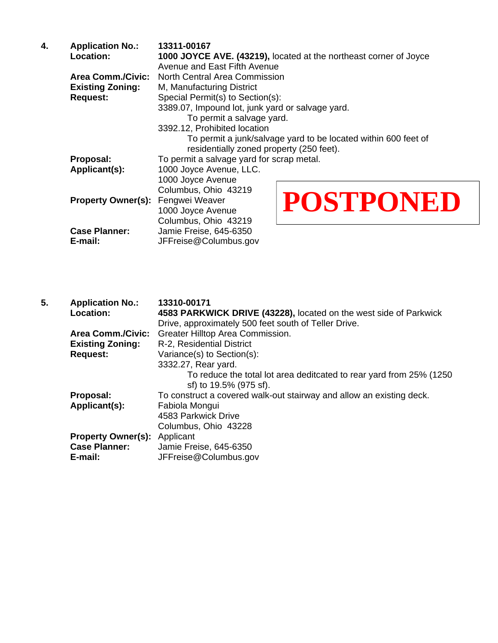| 4. | <b>Application No.:</b><br>Location: | 13311-00167<br>1000 JOYCE AVE. (43219), located at the northeast corner of Joyce |
|----|--------------------------------------|----------------------------------------------------------------------------------|
|    |                                      | Avenue and East Fifth Avenue                                                     |
|    | <b>Area Comm./Civic:</b>             | North Central Area Commission                                                    |
|    | <b>Existing Zoning:</b>              | M, Manufacturing District                                                        |
|    | <b>Request:</b>                      | Special Permit(s) to Section(s):                                                 |
|    |                                      | 3389.07, Impound lot, junk yard or salvage yard.                                 |
|    |                                      | To permit a salvage yard.                                                        |
|    |                                      | 3392.12, Prohibited location                                                     |
|    |                                      | To permit a junk/salvage yard to be located within 600 feet of                   |
|    |                                      | residentially zoned property (250 feet).                                         |
|    | Proposal:                            | To permit a salvage yard for scrap metal.                                        |
|    | Applicant(s):                        | 1000 Joyce Avenue, LLC.                                                          |
|    |                                      | 1000 Joyce Avenue                                                                |
|    |                                      | Columbus, Ohio 43219                                                             |
|    | Property Owner(s): Fengwei Weaver    | POSTPONED                                                                        |
|    |                                      | 1000 Joyce Avenue                                                                |
|    |                                      | Columbus, Ohio 43219                                                             |
|    | <b>Case Planner:</b><br>E-mail:      | Jamie Freise, 645-6350<br>JFFreise@Columbus.gov                                  |

| 5. | <b>Application No.:</b>   | 13310-00171                                                          |
|----|---------------------------|----------------------------------------------------------------------|
|    | <b>Location:</b>          | 4583 PARKWICK DRIVE (43228), located on the west side of Parkwick    |
|    |                           | Drive, approximately 500 feet south of Teller Drive.                 |
|    | <b>Area Comm./Civic:</b>  | Greater Hilltop Area Commission.                                     |
|    | <b>Existing Zoning:</b>   | R-2, Residential District                                            |
|    | <b>Request:</b>           | Variance(s) to Section(s):                                           |
|    |                           | 3332.27, Rear yard.                                                  |
|    |                           | To reduce the total lot area deditcated to rear yard from 25% (1250) |
|    |                           | sf) to 19.5% (975 sf).                                               |
|    | Proposal:                 | To construct a covered walk-out stairway and allow an existing deck. |
|    | Applicant(s):             | Fabiola Mongui                                                       |
|    |                           | 4583 Parkwick Drive                                                  |
|    |                           | Columbus, Ohio 43228                                                 |
|    | <b>Property Owner(s):</b> | Applicant                                                            |
|    | <b>Case Planner:</b>      | Jamie Freise, 645-6350                                               |
|    | E-mail:                   | JFFreise@Columbus.gov                                                |
|    |                           |                                                                      |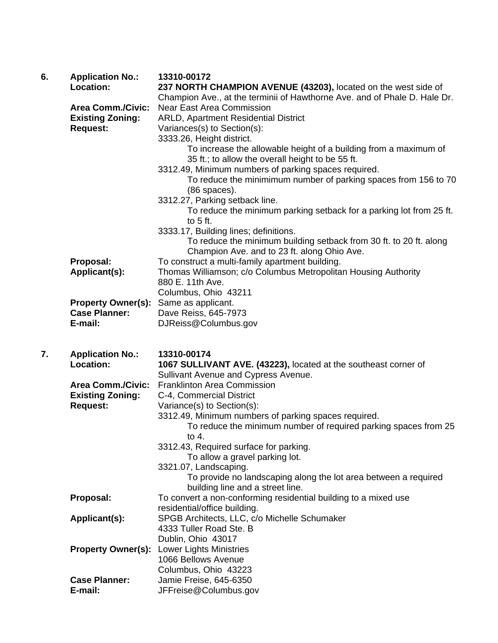|    | <b>Application No.:</b><br>Location: | 13310-00172<br>237 NORTH CHAMPION AVENUE (43203), located on the west side of                                           |
|----|--------------------------------------|-------------------------------------------------------------------------------------------------------------------------|
|    |                                      | Champion Ave., at the terminii of Hawthorne Ave. and of Phale D. Hale Dr.                                               |
|    | <b>Area Comm./Civic:</b>             | <b>Near East Area Commission</b>                                                                                        |
|    | <b>Existing Zoning:</b>              | <b>ARLD, Apartment Residential District</b>                                                                             |
|    | <b>Request:</b>                      | Variances(s) to Section(s):                                                                                             |
|    |                                      | 3333.26, Height district.                                                                                               |
|    |                                      | To increase the allowable height of a building from a maximum of                                                        |
|    |                                      | 35 ft.; to allow the overall height to be 55 ft.                                                                        |
|    |                                      | 3312.49, Minimum numbers of parking spaces required.<br>To reduce the minimimum number of parking spaces from 156 to 70 |
|    |                                      | $(86$ spaces).                                                                                                          |
|    |                                      | 3312.27, Parking setback line.                                                                                          |
|    |                                      | To reduce the minimum parking setback for a parking lot from 25 ft.                                                     |
|    |                                      | to $5$ ft.                                                                                                              |
|    |                                      | 3333.17, Building lines; definitions.                                                                                   |
|    |                                      | To reduce the minimum building setback from 30 ft. to 20 ft. along                                                      |
|    |                                      | Champion Ave. and to 23 ft. along Ohio Ave.                                                                             |
|    | Proposal:                            | To construct a multi-family apartment building.                                                                         |
|    | Applicant(s):                        | Thomas Williamson; c/o Columbus Metropolitan Housing Authority                                                          |
|    |                                      | 880 E. 11th Ave.                                                                                                        |
|    |                                      | Columbus, Ohio 43211                                                                                                    |
|    | <b>Property Owner(s):</b>            | Same as applicant.                                                                                                      |
|    | <b>Case Planner:</b>                 | Dave Reiss, 645-7973                                                                                                    |
|    | E-mail:                              | DJReiss@Columbus.gov                                                                                                    |
|    |                                      |                                                                                                                         |
| 7. | <b>Application No.:</b>              | 13310-00174                                                                                                             |
|    | Location:                            | 1067 SULLIVANT AVE. (43223), located at the southeast corner of                                                         |
|    |                                      | Sullivant Avenue and Cypress Avenue.                                                                                    |
|    |                                      | <b>Franklinton Area Commission</b>                                                                                      |
|    | <b>Area Comm./Civic:</b>             |                                                                                                                         |
|    | <b>Existing Zoning:</b>              | C-4, Commercial District                                                                                                |
|    | <b>Request:</b>                      | Variance(s) to Section(s):                                                                                              |
|    |                                      | 3312.49, Minimum numbers of parking spaces required.                                                                    |
|    |                                      | To reduce the minimum number of required parking spaces from 25                                                         |
|    |                                      | to 4.                                                                                                                   |
|    |                                      | 3312.43, Required surface for parking.                                                                                  |
|    |                                      | To allow a gravel parking lot.                                                                                          |
|    |                                      | 3321.07, Landscaping.                                                                                                   |
|    |                                      | To provide no landscaping along the lot area between a required                                                         |
|    |                                      | building line and a street line.                                                                                        |
|    | Proposal:                            | To convert a non-conforming residential building to a mixed use                                                         |
|    |                                      | residential/office building.                                                                                            |
|    | Applicant(s):                        | SPGB Architects, LLC, c/o Michelle Schumaker                                                                            |
|    |                                      | 4333 Tuller Road Ste. B                                                                                                 |
|    |                                      | Dublin, Ohio 43017                                                                                                      |
|    | <b>Property Owner(s):</b>            | <b>Lower Lights Ministries</b>                                                                                          |
|    |                                      | 1066 Bellows Avenue                                                                                                     |
|    |                                      | Columbus, Ohio 43223                                                                                                    |
|    | <b>Case Planner:</b><br>E-mail:      | Jamie Freise, 645-6350<br>JFFreise@Columbus.gov                                                                         |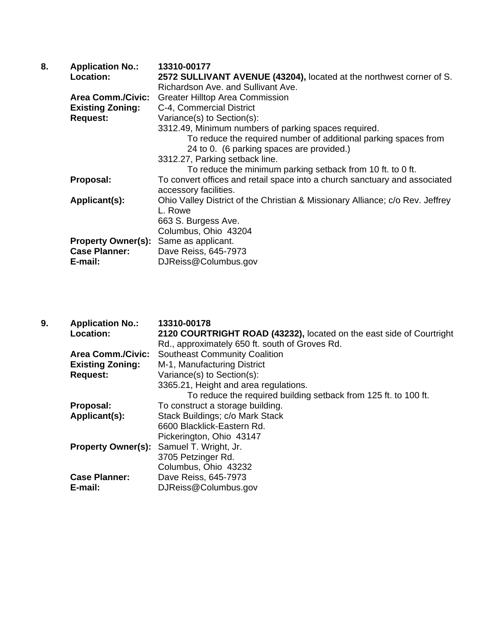| 8. | <b>Application No.:</b>   | 13310-00177                                                                                         |
|----|---------------------------|-----------------------------------------------------------------------------------------------------|
|    | Location:                 | 2572 SULLIVANT AVENUE (43204), located at the northwest corner of S.                                |
|    |                           | Richardson Ave. and Sullivant Ave.                                                                  |
|    | <b>Area Comm./Civic:</b>  | <b>Greater Hilltop Area Commission</b>                                                              |
|    | <b>Existing Zoning:</b>   | C-4, Commercial District                                                                            |
|    | <b>Request:</b>           | Variance(s) to Section(s):                                                                          |
|    |                           | 3312.49, Minimum numbers of parking spaces required.                                                |
|    |                           | To reduce the required number of additional parking spaces from                                     |
|    |                           | 24 to 0. (6 parking spaces are provided.)                                                           |
|    |                           | 3312.27, Parking setback line.                                                                      |
|    |                           | To reduce the minimum parking setback from 10 ft. to 0 ft.                                          |
|    | Proposal:                 | To convert offices and retail space into a church sanctuary and associated<br>accessory facilities. |
|    | Applicant(s):             | Ohio Valley District of the Christian & Missionary Alliance; c/o Rev. Jeffrey                       |
|    |                           | L. Rowe                                                                                             |
|    |                           | 663 S. Burgess Ave.                                                                                 |
|    |                           | Columbus, Ohio 43204                                                                                |
|    | <b>Property Owner(s):</b> | Same as applicant.                                                                                  |
|    | <b>Case Planner:</b>      | Dave Reiss, 645-7973                                                                                |
|    | E-mail:                   | DJReiss@Columbus.gov                                                                                |
|    |                           |                                                                                                     |

| 2120 COURTRIGHT ROAD (43232), located on the east side of Courtright<br>Location:<br>Rd., approximately 650 ft. south of Groves Rd. |  |
|-------------------------------------------------------------------------------------------------------------------------------------|--|
|                                                                                                                                     |  |
|                                                                                                                                     |  |
| <b>Area Comm./Civic:</b><br><b>Southeast Community Coalition</b>                                                                    |  |
| <b>Existing Zoning:</b><br>M-1, Manufacturing District                                                                              |  |
| Variance(s) to Section(s):<br><b>Request:</b>                                                                                       |  |
| 3365.21, Height and area regulations.                                                                                               |  |
| To reduce the required building setback from 125 ft. to 100 ft.                                                                     |  |
| Proposal:<br>To construct a storage building.                                                                                       |  |
| Applicant(s):<br>Stack Buildings; c/o Mark Stack                                                                                    |  |
| 6600 Blacklick-Eastern Rd.                                                                                                          |  |
| Pickerington, Ohio 43147                                                                                                            |  |
| <b>Property Owner(s):</b><br>Samuel T. Wright, Jr.                                                                                  |  |
| 3705 Petzinger Rd.                                                                                                                  |  |
| Columbus, Ohio 43232                                                                                                                |  |
| <b>Case Planner:</b><br>Dave Reiss, 645-7973                                                                                        |  |
| DJReiss@Columbus.gov<br>E-mail:                                                                                                     |  |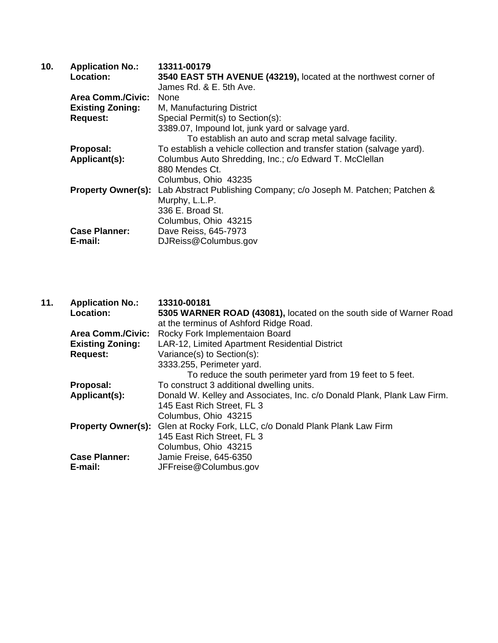| <b>Application No.:</b>   | 13311-00179                                                            |
|---------------------------|------------------------------------------------------------------------|
| Location:                 | 3540 EAST 5TH AVENUE (43219), located at the northwest corner of       |
|                           | James Rd. & E. 5th Ave.                                                |
| <b>Area Comm./Civic:</b>  | None                                                                   |
| <b>Existing Zoning:</b>   | M, Manufacturing District                                              |
| <b>Request:</b>           | Special Permit(s) to Section(s):                                       |
|                           | 3389.07, Impound lot, junk yard or salvage yard.                       |
|                           | To establish an auto and scrap metal salvage facility.                 |
| Proposal:                 | To establish a vehicle collection and transfer station (salvage yard). |
| Applicant(s):             | Columbus Auto Shredding, Inc.; c/o Edward T. McClellan                 |
|                           | 880 Mendes Ct.                                                         |
|                           | Columbus, Ohio 43235                                                   |
| <b>Property Owner(s):</b> | Lab Abstract Publishing Company; c/o Joseph M. Patchen; Patchen &      |
|                           | Murphy, L.L.P.                                                         |
|                           | 336 E. Broad St.                                                       |
|                           | Columbus, Ohio 43215                                                   |
| <b>Case Planner:</b>      | Dave Reiss, 645-7973                                                   |
| E-mail:                   | DJReiss@Columbus.gov                                                   |
|                           |                                                                        |

| 11. | <b>Application No.:</b>  | 13310-00181                                                                        |
|-----|--------------------------|------------------------------------------------------------------------------------|
|     | <b>Location:</b>         | 5305 WARNER ROAD (43081), located on the south side of Warner Road                 |
|     |                          | at the terminus of Ashford Ridge Road.                                             |
|     | <b>Area Comm./Civic:</b> | Rocky Fork Implementaion Board                                                     |
|     | <b>Existing Zoning:</b>  | LAR-12, Limited Apartment Residential District                                     |
|     | <b>Request:</b>          | Variance(s) to Section(s):                                                         |
|     |                          | 3333.255, Perimeter yard.                                                          |
|     |                          | To reduce the south perimeter yard from 19 feet to 5 feet.                         |
|     | Proposal:                | To construct 3 additional dwelling units.                                          |
|     | Applicant(s):            | Donald W. Kelley and Associates, Inc. c/o Donald Plank, Plank Law Firm.            |
|     |                          | 145 East Rich Street, FL 3                                                         |
|     |                          | Columbus, Ohio 43215                                                               |
|     |                          | <b>Property Owner(s):</b> Glen at Rocky Fork, LLC, c/o Donald Plank Plank Law Firm |
|     |                          | 145 East Rich Street, FL 3                                                         |
|     |                          | Columbus, Ohio 43215                                                               |
|     | <b>Case Planner:</b>     | Jamie Freise, 645-6350                                                             |
|     | E-mail:                  | JFFreise@Columbus.gov                                                              |
|     |                          |                                                                                    |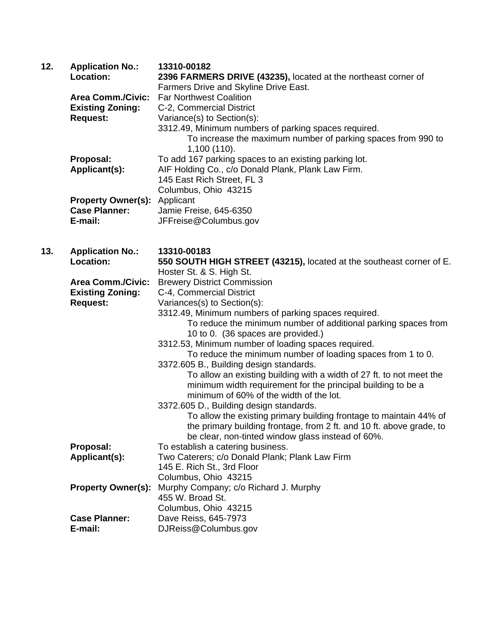| 12. | <b>Application No.:</b><br>Location: | 13310-00182<br>2396 FARMERS DRIVE (43235), located at the northeast corner of<br>Farmers Drive and Skyline Drive East. |
|-----|--------------------------------------|------------------------------------------------------------------------------------------------------------------------|
|     | <b>Area Comm./Civic:</b>             | <b>Far Northwest Coalition</b>                                                                                         |
|     | <b>Existing Zoning:</b>              | C-2, Commercial District                                                                                               |
|     | <b>Request:</b>                      | Variance(s) to Section(s):                                                                                             |
|     |                                      | 3312.49, Minimum numbers of parking spaces required.                                                                   |
|     |                                      | To increase the maximum number of parking spaces from 990 to<br>1,100 (110).                                           |
|     | Proposal:                            | To add 167 parking spaces to an existing parking lot.                                                                  |
|     | Applicant(s):                        | AIF Holding Co., c/o Donald Plank, Plank Law Firm.                                                                     |
|     |                                      | 145 East Rich Street, FL 3                                                                                             |
|     |                                      | Columbus, Ohio 43215                                                                                                   |
|     | <b>Property Owner(s):</b> Applicant  |                                                                                                                        |
|     | <b>Case Planner:</b>                 | Jamie Freise, 645-6350                                                                                                 |
|     | E-mail:                              | JFFreise@Columbus.gov                                                                                                  |
|     |                                      |                                                                                                                        |
| 13. | <b>Application No.:</b>              | 13310-00183                                                                                                            |
|     | <b>Location:</b>                     | 550 SOUTH HIGH STREET (43215), located at the southeast corner of E.                                                   |
|     |                                      | Hoster St. & S. High St.                                                                                               |
|     | <b>Area Comm./Civic:</b>             | <b>Brewery District Commission</b>                                                                                     |
|     | <b>Existing Zoning:</b>              | C-4, Commercial District                                                                                               |
|     | <b>Request:</b>                      | Variances(s) to Section(s):                                                                                            |
|     |                                      | 3312.49, Minimum numbers of parking spaces required.                                                                   |
|     |                                      | To reduce the minimum number of additional parking spaces from                                                         |
|     |                                      | 10 to 0. (36 spaces are provided.)                                                                                     |
|     |                                      | 3312.53, Minimum number of loading spaces required.<br>To reduce the minimum number of loading spaces from 1 to 0.     |
|     |                                      | 3372.605 B., Building design standards.                                                                                |
|     |                                      | To allow an existing building with a width of 27 ft. to not meet the                                                   |
|     |                                      | minimum width requirement for the principal building to be a                                                           |
|     |                                      | minimum of 60% of the width of the lot.                                                                                |
|     |                                      | 3372.605 D., Building design standards.                                                                                |
|     |                                      | To allow the existing primary building frontage to maintain 44% of                                                     |
|     |                                      | the primary building frontage, from 2 ft. and 10 ft. above grade, to                                                   |
|     |                                      | be clear, non-tinted window glass instead of 60%.                                                                      |
|     | Proposal:                            | To establish a catering business.                                                                                      |
|     | Applicant(s):                        | Two Caterers; c/o Donald Plank; Plank Law Firm                                                                         |
|     |                                      | 145 E. Rich St., 3rd Floor                                                                                             |
|     |                                      | Columbus, Ohio 43215                                                                                                   |
|     | <b>Property Owner(s):</b>            | Murphy Company; c/o Richard J. Murphy                                                                                  |
|     |                                      | 455 W. Broad St.                                                                                                       |
|     | <b>Case Planner:</b>                 | Columbus, Ohio 43215<br>Dave Reiss, 645-7973                                                                           |
|     | E-mail:                              | DJReiss@Columbus.gov                                                                                                   |
|     |                                      |                                                                                                                        |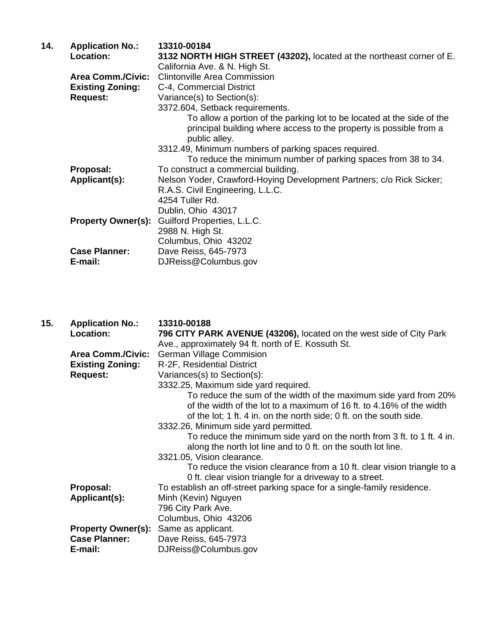| 14. | <b>Application No.:</b>   | 13310-00184                                                            |
|-----|---------------------------|------------------------------------------------------------------------|
|     | Location:                 | 3132 NORTH HIGH STREET (43202), located at the northeast corner of E.  |
|     |                           | California Ave. & N. High St.                                          |
|     | <b>Area Comm./Civic:</b>  | <b>Clintonville Area Commission</b>                                    |
|     | <b>Existing Zoning:</b>   | C-4, Commercial District                                               |
|     | <b>Request:</b>           | Variance(s) to Section(s):                                             |
|     |                           | 3372.604, Setback requirements.                                        |
|     |                           | To allow a portion of the parking lot to be located at the side of the |
|     |                           | principal building where access to the property is possible from a     |
|     |                           | public alley.                                                          |
|     |                           | 3312.49, Minimum numbers of parking spaces required.                   |
|     |                           | To reduce the minimum number of parking spaces from 38 to 34.          |
|     | Proposal:                 | To construct a commercial building.                                    |
|     | Applicant(s):             | Nelson Yoder, Crawford-Hoying Development Partners; c/o Rick Sicker;   |
|     |                           | R.A.S. Civil Engineering, L.L.C.                                       |
|     |                           | 4254 Tuller Rd.                                                        |
|     |                           | Dublin, Ohio 43017                                                     |
|     | <b>Property Owner(s):</b> | Guilford Properties, L.L.C.                                            |
|     |                           | 2988 N. High St.                                                       |
|     |                           | Columbus, Ohio 43202                                                   |
|     | <b>Case Planner:</b>      | Dave Reiss, 645-7973                                                   |
|     | E-mail:                   | DJReiss@Columbus.gov                                                   |
|     |                           |                                                                        |

| 15. | <b>Application No.:</b>   | 13310-00188                                                             |
|-----|---------------------------|-------------------------------------------------------------------------|
|     | Location:                 | 796 CITY PARK AVENUE (43206), located on the west side of City Park     |
|     |                           | Ave., approximately 94 ft. north of E. Kossuth St.                      |
|     | <b>Area Comm./Civic:</b>  | <b>German Village Commision</b>                                         |
|     | <b>Existing Zoning:</b>   | R-2F, Residential District                                              |
|     | <b>Request:</b>           | Variances(s) to Section(s):                                             |
|     |                           | 3332.25, Maximum side yard required.                                    |
|     |                           | To reduce the sum of the width of the maximum side yard from 20%        |
|     |                           | of the width of the lot to a maximum of 16 ft. to 4.16% of the width    |
|     |                           | of the lot; 1 ft. 4 in. on the north side; 0 ft. on the south side.     |
|     |                           | 3332.26, Minimum side yard permitted.                                   |
|     |                           | To reduce the minimum side yard on the north from 3 ft. to 1 ft. 4 in.  |
|     |                           | along the north lot line and to 0 ft. on the south lot line.            |
|     |                           | 3321.05, Vision clearance.                                              |
|     |                           | To reduce the vision clearance from a 10 ft. clear vision triangle to a |
|     |                           | 0 ft. clear vision triangle for a driveway to a street.                 |
|     | Proposal:                 | To establish an off-street parking space for a single-family residence. |
|     | Applicant(s):             | Minh (Kevin) Nguyen                                                     |
|     |                           | 796 City Park Ave.                                                      |
|     |                           | Columbus, Ohio 43206                                                    |
|     | <b>Property Owner(s):</b> | Same as applicant.                                                      |
|     | <b>Case Planner:</b>      | Dave Reiss, 645-7973                                                    |
|     | E-mail:                   | DJReiss@Columbus.gov                                                    |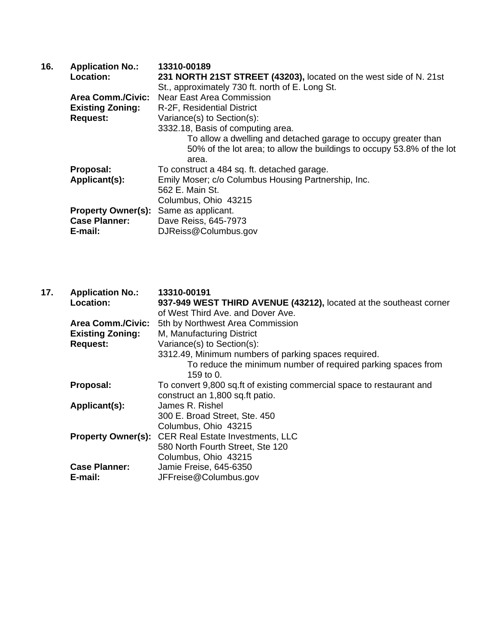| 231 NORTH 21ST STREET (43203), located on the west side of N. 21st     |
|------------------------------------------------------------------------|
|                                                                        |
|                                                                        |
|                                                                        |
|                                                                        |
|                                                                        |
| To allow a dwelling and detached garage to occupy greater than         |
| 50% of the lot area; to allow the buildings to occupy 53.8% of the lot |
|                                                                        |
|                                                                        |
|                                                                        |
|                                                                        |
|                                                                        |
|                                                                        |
|                                                                        |
|                                                                        |
|                                                                        |

| 17. | <b>Application No.:</b>   | 13310-00191                                                           |
|-----|---------------------------|-----------------------------------------------------------------------|
|     | <b>Location:</b>          | 937-949 WEST THIRD AVENUE (43212), located at the southeast corner    |
|     |                           | of West Third Ave, and Dover Ave.                                     |
|     | <b>Area Comm./Civic:</b>  | 5th by Northwest Area Commission                                      |
|     | <b>Existing Zoning:</b>   | M, Manufacturing District                                             |
|     | <b>Request:</b>           | Variance(s) to Section(s):                                            |
|     |                           | 3312.49, Minimum numbers of parking spaces required.                  |
|     |                           | To reduce the minimum number of required parking spaces from          |
|     |                           | 159 to 0.                                                             |
|     | Proposal:                 | To convert 9,800 sq.ft of existing commercial space to restaurant and |
|     |                           | construct an 1,800 sq.ft patio.                                       |
|     | Applicant(s):             | James R. Rishel                                                       |
|     |                           | 300 E. Broad Street, Ste. 450                                         |
|     |                           | Columbus, Ohio 43215                                                  |
|     | <b>Property Owner(s):</b> | <b>CER Real Estate Investments, LLC</b>                               |
|     |                           | 580 North Fourth Street, Ste 120                                      |
|     |                           | Columbus, Ohio 43215                                                  |
|     | <b>Case Planner:</b>      | Jamie Freise, 645-6350                                                |
|     | E-mail:                   | JFFreise@Columbus.gov                                                 |
|     |                           |                                                                       |